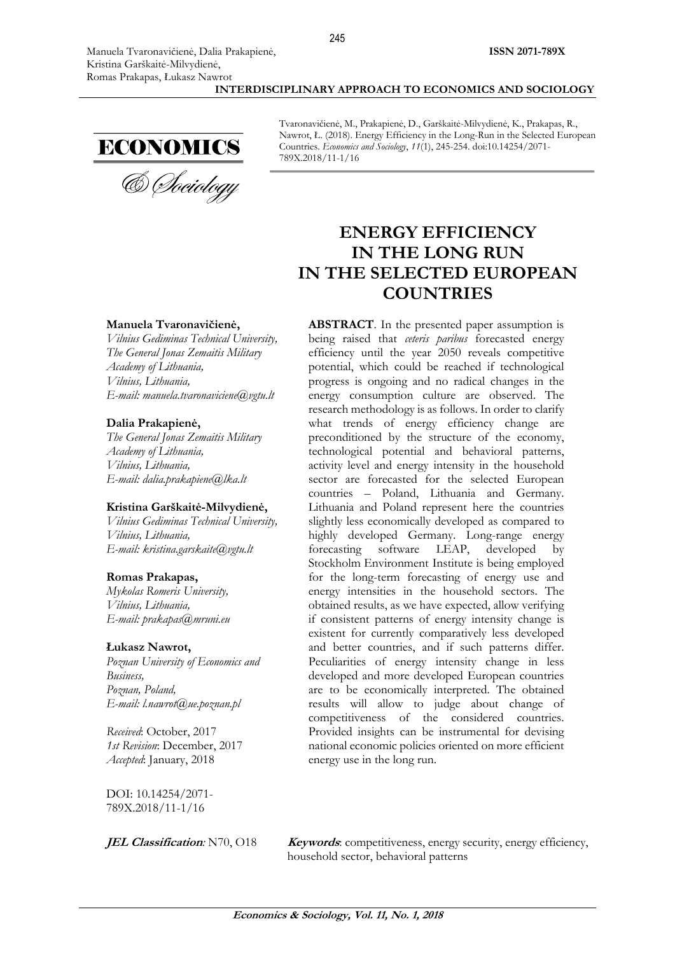**INTERDISCIPLINARY APPROACH TO ECONOMICS AND SOCIOLOGY**



ECONOMICS<br>& *Choiology* 

Tvaronavičienė, M., Prakapienė, D., Garškaitė-Milvydienė, K., Prakapas, R., Nawrot, Ł. (2018). Energy Efficiency in the Long-Run in the Selected European Countries. *Economics and Sociology*, *11*(1), 245-254. doi:10.14254/2071- 789X.2018/11-1/16

# **ENERGY EFFICIENCY IN THE LONG RUN IN THE SELECTED EUROPEAN COUNTRIES**

**ABSTRACT**. In the presented paper assumption is being raised that *ceteris paribus* forecasted energy efficiency until the year 2050 reveals competitive potential, which could be reached if technological progress is ongoing and no radical changes in the energy consumption culture are observed. The research methodology is as follows. In order to clarify what trends of energy efficiency change are preconditioned by the structure of the economy, technological potential and behavioral patterns, activity level and energy intensity in the household sector are forecasted for the selected European countries – Poland, Lithuania and Germany. Lithuania and Poland represent here the countries slightly less economically developed as compared to highly developed Germany. Long-range energy forecasting software LEAP, developed by Stockholm Environment Institute is being employed for the long-term forecasting of energy use and energy intensities in the household sectors. The obtained results, as we have expected, allow verifying if consistent patterns of energy intensity change is existent for currently comparatively less developed and better countries, and if such patterns differ. Peculiarities of energy intensity change in less developed and more developed European countries are to be economically interpreted. The obtained results will allow to judge about change of competitiveness of the considered countries. Provided insights can be instrumental for devising national economic policies oriented on more efficient energy use in the long run.

### **Manuela Tvaronavičienė,**

*Vilnius Gediminas Technical University, The General Jonas Zemaitis Military Academy of Lithuania, Vilnius, Lithuania, E-mail: [manuela.tvaronaviciene@vgtu.lt](mailto:manuela.tvaronaviciene@vgtu.lt)*

### **Dalia Prakapienė,**

*The General Jonas Zemaitis Military Academy of Lithuania, Vilnius, Lithuania, E-mail: [dalia.prakapiene@lka.lt](mailto:dalia.prakapiene@lka.lt)*

#### **Kristina Garškaitė-Milvydienė,**

*Vilnius Gediminas Technical University, Vilnius, Lithuania, E-mail: [kristina.garskaite@vgtu.lt](mailto:kristina.garskaite@vgtu.lt)*

#### **Romas Prakapas,**

*Mykolas Romeris University, Vilnius, Lithuania, E-mail: [prakapas@mruni.eu](mailto:prakapas@mruni.eu)*

#### **Łukasz Nawrot,**

*Poznan University of Economics and Business, Poznan, Poland, E-mail: [l.nawrot@ue.poznan.pl](mailto:l.nawrot@ue.poznan.pl)*

*Received*: October, 2017 *1st Revision*: December, 2017 *Accepted*: January, 2018

DOI: 10.14254/2071- 789X.2018/11-1/16

**JEL Classification**: N70, O18 **Keywords**: competitiveness, energy security, energy efficiency, household sector, behavioral patterns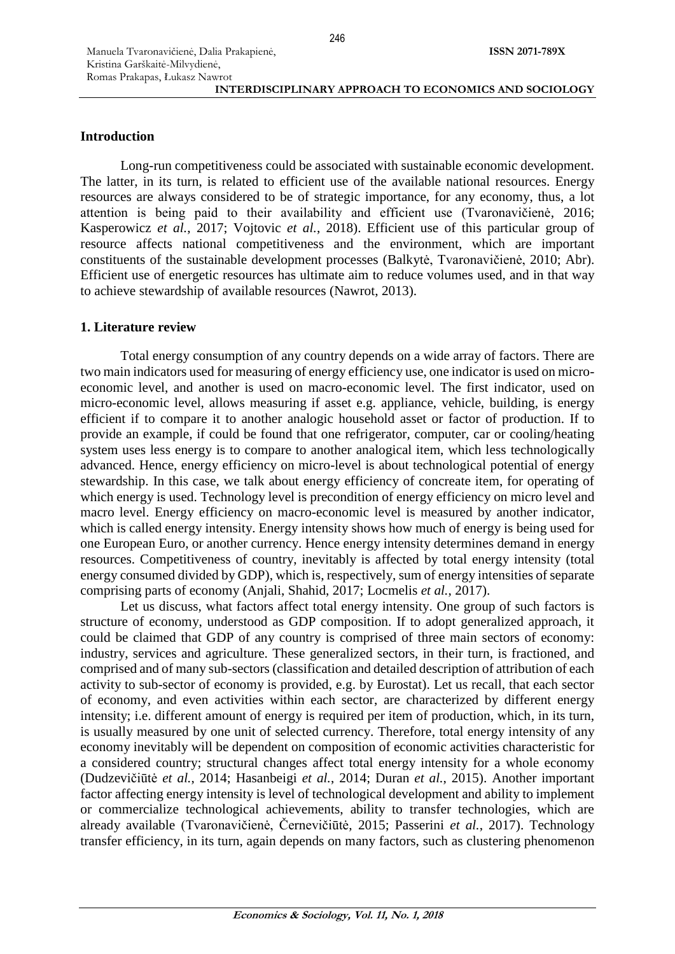### **Introduction**

Long-run competitiveness could be associated with sustainable economic development. The latter, in its turn, is related to efficient use of the available national resources. Energy resources are always considered to be of strategic importance, for any economy, thus, a lot attention is being paid to their availability and efficient use (Tvaronavičienė, 2016; Kasperowicz *et al.*, 2017; Vojtovic *et al.*, 2018). Efficient use of this particular group of resource affects national competitiveness and the environment, which are important constituents of the sustainable development processes (Balkytė, Tvaronavičienė, 2010; Abr). Efficient use of energetic resources has ultimate aim to reduce volumes used, and in that way to achieve stewardship of available resources (Nawrot, 2013).

### **1. Literature review**

Total energy consumption of any country depends on a wide array of factors. There are two main indicators used for measuring of energy efficiency use, one indicator is used on microeconomic level, and another is used on macro-economic level. The first indicator, used on micro-economic level, allows measuring if asset e.g. appliance, vehicle, building, is energy efficient if to compare it to another analogic household asset or factor of production. If to provide an example, if could be found that one refrigerator, computer, car or cooling/heating system uses less energy is to compare to another analogical item, which less technologically advanced. Hence, energy efficiency on micro-level is about technological potential of energy stewardship. In this case, we talk about energy efficiency of concreate item, for operating of which energy is used. Technology level is precondition of energy efficiency on micro level and macro level. Energy efficiency on macro-economic level is measured by another indicator, which is called energy intensity. Energy intensity shows how much of energy is being used for one European Euro, or another currency. Hence energy intensity determines demand in energy resources. Competitiveness of country, inevitably is affected by total energy intensity (total energy consumed divided by GDP), which is, respectively, sum of energy intensities of separate comprising parts of economy (Anjali, Shahid, 2017; Locmelis *et al.*, 2017).

Let us discuss, what factors affect total energy intensity. One group of such factors is structure of economy, understood as GDP composition. If to adopt generalized approach, it could be claimed that GDP of any country is comprised of three main sectors of economy: industry, services and agriculture. These generalized sectors, in their turn, is fractioned, and comprised and of many sub-sectors (classification and detailed description of attribution of each activity to sub-sector of economy is provided, e.g. by Eurostat). Let us recall, that each sector of economy, and even activities within each sector, are characterized by different energy intensity; i.e. different amount of energy is required per item of production, which, in its turn, is usually measured by one unit of selected currency. Therefore, total energy intensity of any economy inevitably will be dependent on composition of economic activities characteristic for a considered country; structural changes affect total energy intensity for a whole economy (Dudzevičiūtė *et al.*, 2014; Hasanbeigi *et al.*, 2014; Duran *et al.*, 2015). Another important factor affecting energy intensity is level of technological development and ability to implement or commercialize technological achievements, ability to transfer technologies, which are already available (Tvaronavičienė, Černevičiūtė, 2015; Passerini *et al.*, 2017). Technology transfer efficiency, in its turn, again depends on many factors, such as clustering phenomenon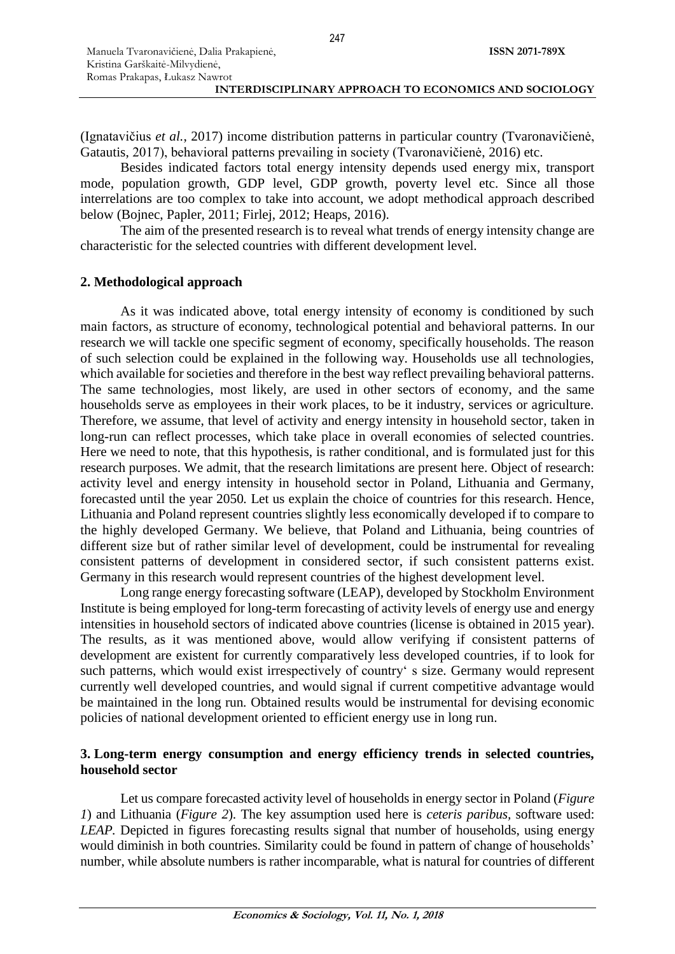(Ignatavičius *et al.*, 2017) income distribution patterns in particular country (Tvaronavičienė, Gatautis, 2017), behavioral patterns prevailing in society (Tvaronavičienė, 2016) etc.

Besides indicated factors total energy intensity depends used energy mix, transport mode, population growth, GDP level, GDP growth, poverty level etc. Since all those interrelations are too complex to take into account, we adopt methodical approach described below (Bojnec, Papler, 2011; Firlej, 2012; Heaps, 2016).

The aim of the presented research is to reveal what trends of energy intensity change are characteristic for the selected countries with different development level*.*

# **2. Methodological approach**

As it was indicated above, total energy intensity of economy is conditioned by such main factors, as structure of economy, technological potential and behavioral patterns. In our research we will tackle one specific segment of economy, specifically households. The reason of such selection could be explained in the following way. Households use all technologies, which available for societies and therefore in the best way reflect prevailing behavioral patterns. The same technologies, most likely, are used in other sectors of economy, and the same households serve as employees in their work places, to be it industry, services or agriculture. Therefore, we assume, that level of activity and energy intensity in household sector, taken in long-run can reflect processes, which take place in overall economies of selected countries. Here we need to note, that this hypothesis, is rather conditional, and is formulated just for this research purposes. We admit, that the research limitations are present here. Object of research: activity level and energy intensity in household sector in Poland, Lithuania and Germany, forecasted until the year 2050*.* Let us explain the choice of countries for this research. Hence, Lithuania and Poland represent countries slightly less economically developed if to compare to the highly developed Germany. We believe, that Poland and Lithuania, being countries of different size but of rather similar level of development, could be instrumental for revealing consistent patterns of development in considered sector, if such consistent patterns exist. Germany in this research would represent countries of the highest development level.

Long range energy forecasting software (LEAP), developed by Stockholm Environment Institute is being employed for long-term forecasting of activity levels of energy use and energy intensities in household sectors of indicated above countries (license is obtained in 2015 year). The results, as it was mentioned above, would allow verifying if consistent patterns of development are existent for currently comparatively less developed countries, if to look for such patterns, which would exist irrespectively of country' s size. Germany would represent currently well developed countries, and would signal if current competitive advantage would be maintained in the long run*.* Obtained results would be instrumental for devising economic policies of national development oriented to efficient energy use in long run.

## **3. Long-term energy consumption and energy efficiency trends in selected countries, household sector**

Let us compare forecasted activity level of households in energy sector in Poland (*Figure 1*) and Lithuania (*Figure 2*). The key assumption used here is *ceteris paribus,* software used: *LEAP.* Depicted in figures forecasting results signal that number of households, using energy would diminish in both countries. Similarity could be found in pattern of change of households' number, while absolute numbers is rather incomparable, what is natural for countries of different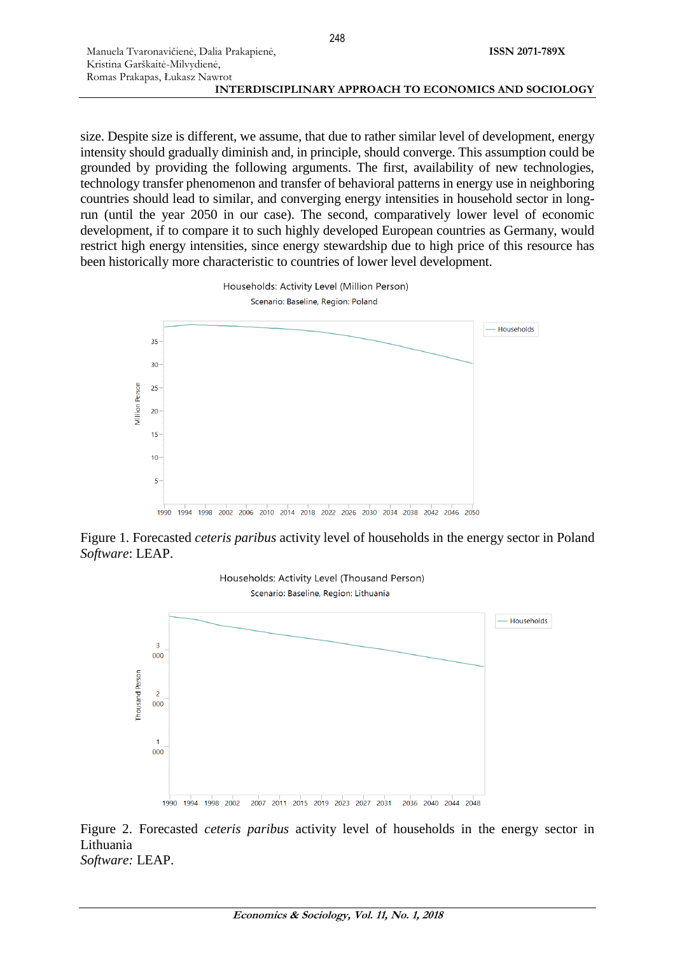size. Despite size is different, we assume, that due to rather similar level of development, energy intensity should gradually diminish and, in principle, should converge. This assumption could be grounded by providing the following arguments. The first, availability of new technologies, technology transfer phenomenon and transfer of behavioral patterns in energy use in neighboring countries should lead to similar, and converging energy intensities in household sector in longrun (until the year 2050 in our case). The second, comparatively lower level of economic development, if to compare it to such highly developed European countries as Germany, would restrict high energy intensities, since energy stewardship due to high price of this resource has been historically more characteristic to countries of lower level development.



Figure 1. Forecasted *ceteris paribus* activity level of households in the energy sector in Poland *Software*: LEAP.



Figure 2. Forecasted *ceteris paribus* activity level of households in the energy sector in Lithuania *Software:* LEAP.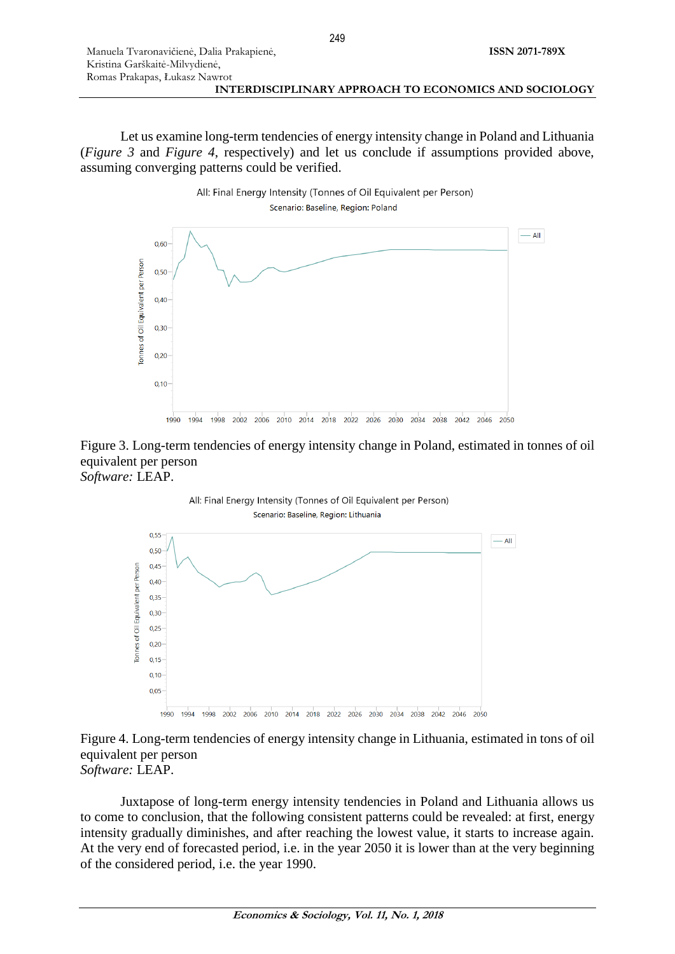| Manuela Tvaronavičienė, Dalia Prakapienė,             | <b>ISSN 2071-789X</b> |
|-------------------------------------------------------|-----------------------|
| Kristina Garškaitė-Milvydienė,                        |                       |
| Romas Prakapas, Łukasz Nawrot                         |                       |
| INTERDISCIPLINARY APPROACH TO ECONOMICS AND SOCIOLOGY |                       |

Let us examine long-term tendencies of energy intensity change in Poland and Lithuania (*Figure 3* and *Figure 4*, respectively) and let us conclude if assumptions provided above, assuming converging patterns could be verified.







## Figure 4. Long-term tendencies of energy intensity change in Lithuania, estimated in tons of oil equivalent per person *Software:* LEAP.

Juxtapose of long-term energy intensity tendencies in Poland and Lithuania allows us to come to conclusion, that the following consistent patterns could be revealed: at first, energy intensity gradually diminishes, and after reaching the lowest value, it starts to increase again. At the very end of forecasted period, i.e. in the year 2050 it is lower than at the very beginning of the considered period, i.e. the year 1990.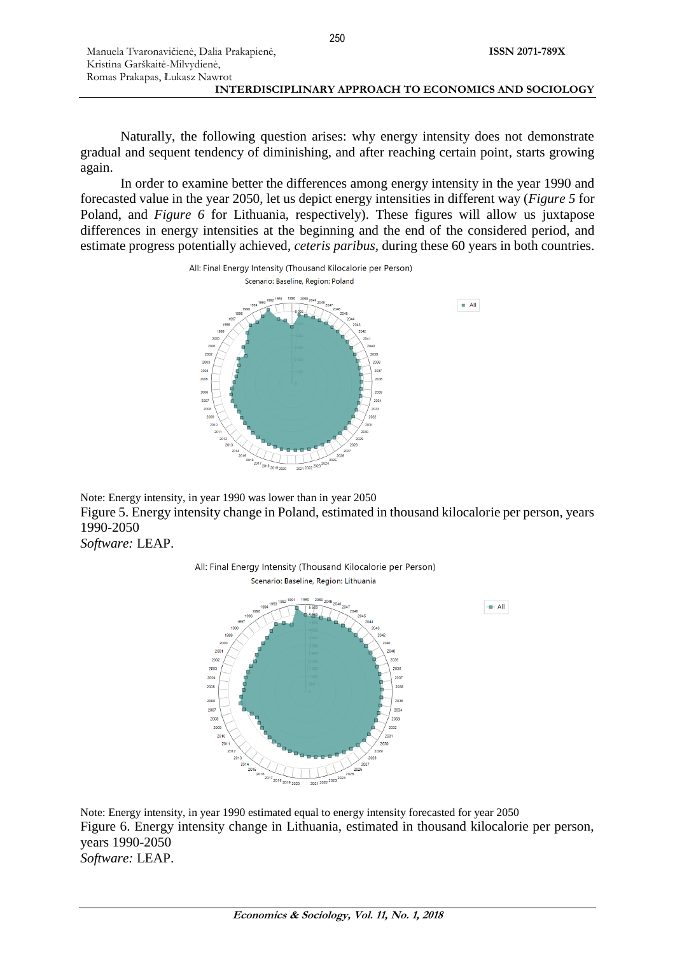| Manuela Tvaronavičienė, Dalia Prakapienė,             | <b>ISSN 2071-789X</b> |
|-------------------------------------------------------|-----------------------|
| Kristina Garškaitė-Milvydienė,                        |                       |
| Romas Prakapas, Łukasz Nawrot                         |                       |
| INTERDISCIPLINARY APPROACH TO ECONOMICS AND SOCIOLOGY |                       |

Naturally, the following question arises: why energy intensity does not demonstrate gradual and sequent tendency of diminishing, and after reaching certain point, starts growing again.

In order to examine better the differences among energy intensity in the year 1990 and forecasted value in the year 2050, let us depict energy intensities in different way (*Figure 5* for Poland, and *Figure* 6 for Lithuania, respectively). These figures will allow us juxtapose differences in energy intensities at the beginning and the end of the considered period, and estimate progress potentially achieved, *ceteris paribus,* during these 60 years in both countries.



Note: Energy intensity, in year 1990 was lower than in year 2050 Figure 5. Energy intensity change in Poland, estimated in thousand kilocalorie per person, years 1990-2050

All: Final Energy Intensity (Thousand Kilocalorie per Person)

*Software:* LEAP.



Note: Energy intensity, in year 1990 estimated equal to energy intensity forecasted for year 2050 Figure 6. Energy intensity change in Lithuania, estimated in thousand kilocalorie per person, years 1990-2050 *Software:* LEAP.

250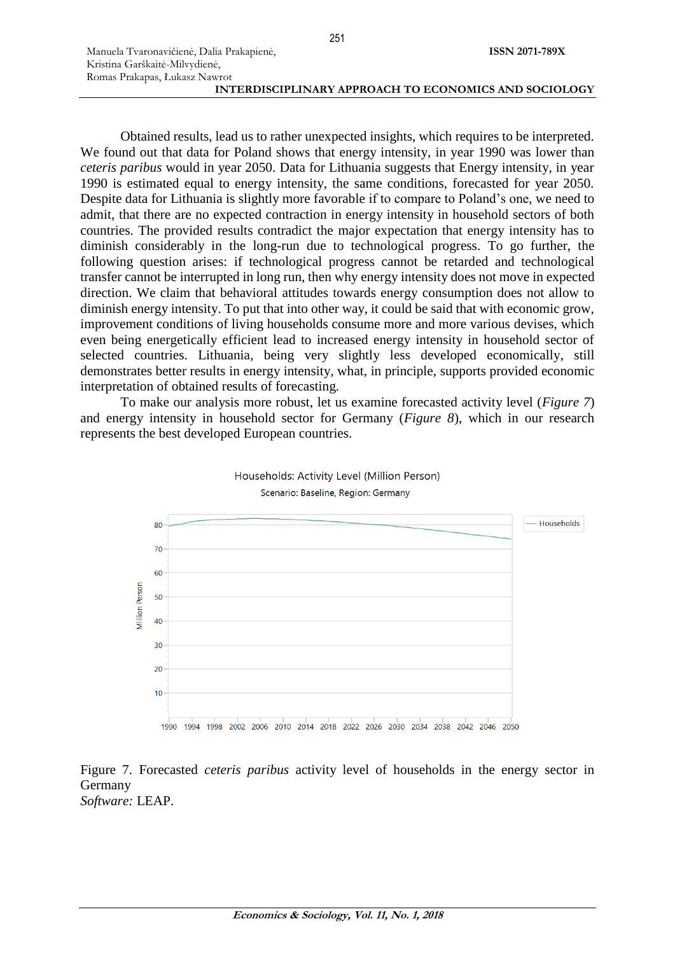Obtained results, lead us to rather unexpected insights, which requires to be interpreted. We found out that data for Poland shows that energy intensity, in year 1990 was lower than *ceteris paribus* would in year 2050. Data for Lithuania suggests that Energy intensity, in year 1990 is estimated equal to energy intensity, the same conditions, forecasted for year 2050. Despite data for Lithuania is slightly more favorable if to compare to Poland's one, we need to admit, that there are no expected contraction in energy intensity in household sectors of both countries. The provided results contradict the major expectation that energy intensity has to diminish considerably in the long-run due to technological progress. To go further, the following question arises: if technological progress cannot be retarded and technological transfer cannot be interrupted in long run, then why energy intensity does not move in expected direction. We claim that behavioral attitudes towards energy consumption does not allow to diminish energy intensity. To put that into other way, it could be said that with economic grow, improvement conditions of living households consume more and more various devises, which even being energetically efficient lead to increased energy intensity in household sector of selected countries. Lithuania, being very slightly less developed economically, still demonstrates better results in energy intensity, what, in principle, supports provided economic interpretation of obtained results of forecasting.

To make our analysis more robust, let us examine forecasted activity level (*Figure 7*) and energy intensity in household sector for Germany (*Figure 8*), which in our research represents the best developed European countries.



![](_page_6_Figure_6.jpeg)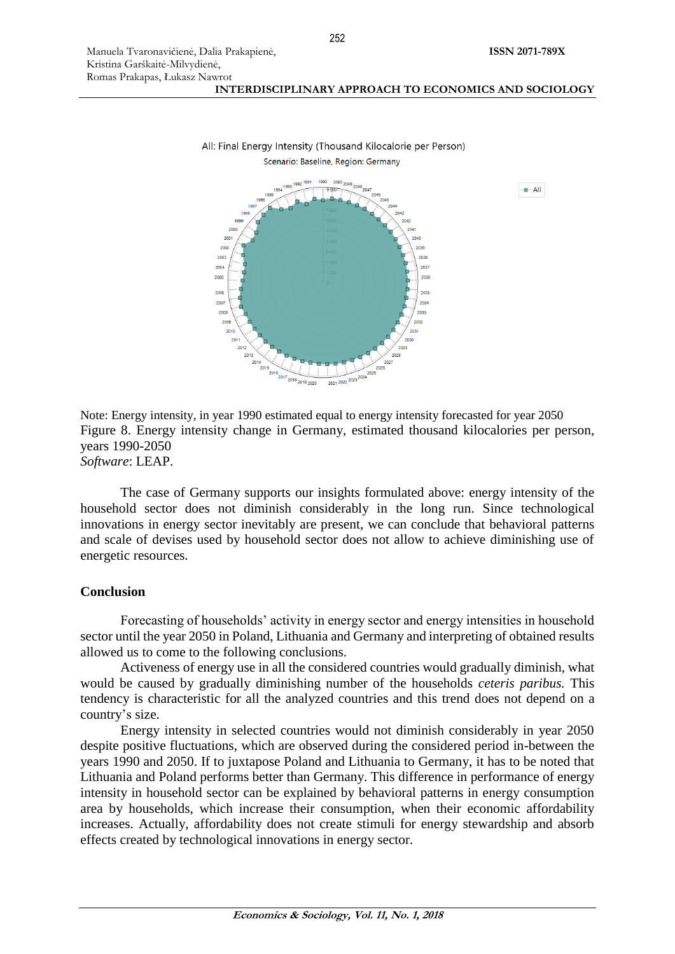![](_page_7_Figure_2.jpeg)

![](_page_7_Figure_3.jpeg)

#### All: Final Energy Intensity (Thousand Kilocalorie per Person) Scenario: Baseline, Region: Germany

Note: Energy intensity, in year 1990 estimated equal to energy intensity forecasted for year 2050 Figure 8. Energy intensity change in Germany, estimated thousand kilocalories per person, years 1990-2050

*Software*: LEAP.

The case of Germany supports our insights formulated above: energy intensity of the household sector does not diminish considerably in the long run. Since technological innovations in energy sector inevitably are present, we can conclude that behavioral patterns and scale of devises used by household sector does not allow to achieve diminishing use of energetic resources.

### **Conclusion**

Forecasting of households' activity in energy sector and energy intensities in household sector until the year 2050 in Poland, Lithuania and Germany and interpreting of obtained results allowed us to come to the following conclusions.

Activeness of energy use in all the considered countries would gradually diminish, what would be caused by gradually diminishing number of the households *ceteris paribus.* This tendency is characteristic for all the analyzed countries and this trend does not depend on a country's size.

Energy intensity in selected countries would not diminish considerably in year 2050 despite positive fluctuations, which are observed during the considered period in-between the years 1990 and 2050. If to juxtapose Poland and Lithuania to Germany, it has to be noted that Lithuania and Poland performs better than Germany. This difference in performance of energy intensity in household sector can be explained by behavioral patterns in energy consumption area by households, which increase their consumption, when their economic affordability increases. Actually, affordability does not create stimuli for energy stewardship and absorb effects created by technological innovations in energy sector.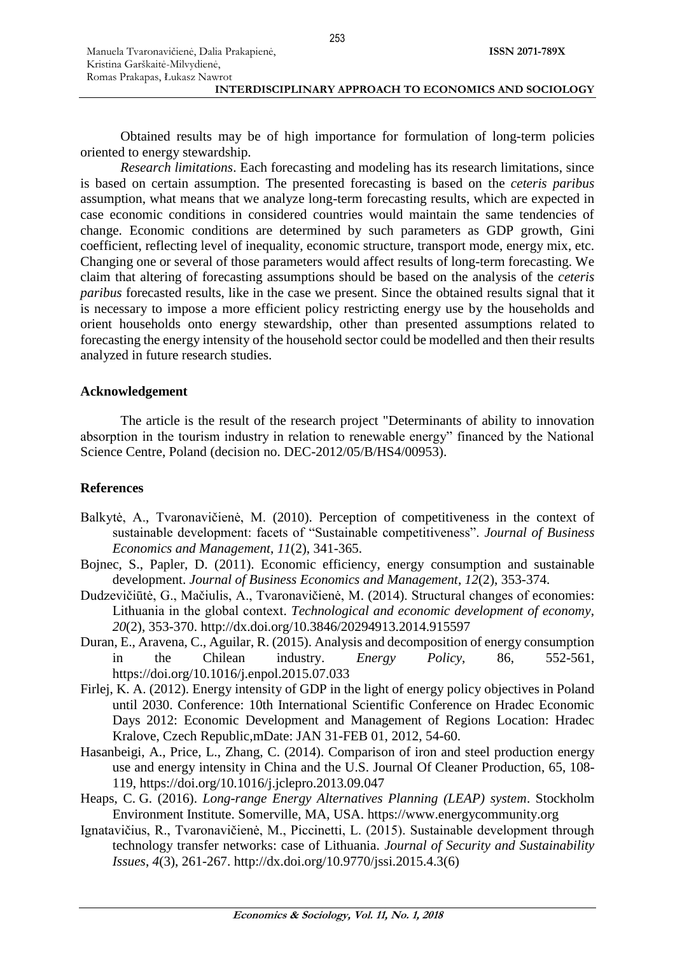| Manuela Tvaronavičienė, Dalia Prakapienė,             | <b>ISSN 2071-789X</b> |
|-------------------------------------------------------|-----------------------|
| Kristina Garškaitė-Milvydienė,                        |                       |
| Romas Prakapas, Łukasz Nawrot                         |                       |
| INTERDISCIPLINARY APPROACH TO ECONOMICS AND SOCIOLOGY |                       |

Obtained results may be of high importance for formulation of long-term policies oriented to energy stewardship.

*Research limitations*. Each forecasting and modeling has its research limitations, since is based on certain assumption. The presented forecasting is based on the *ceteris paribus*  assumption, what means that we analyze long-term forecasting results, which are expected in case economic conditions in considered countries would maintain the same tendencies of change. Economic conditions are determined by such parameters as GDP growth, Gini coefficient, reflecting level of inequality, economic structure, transport mode, energy mix, etc. Changing one or several of those parameters would affect results of long-term forecasting. We claim that altering of forecasting assumptions should be based on the analysis of the *ceteris paribus* forecasted results, like in the case we present. Since the obtained results signal that it is necessary to impose a more efficient policy restricting energy use by the households and orient households onto energy stewardship, other than presented assumptions related to forecasting the energy intensity of the household sector could be modelled and then their results analyzed in future research studies.

## **Acknowledgement**

The article is the result of the research project "Determinants of ability to innovation absorption in the tourism industry in relation to renewable energy" financed by the National Science Centre, Poland (decision no. DEC-2012/05/B/HS4/00953).

# **References**

- Balkytė, A., Tvaronavičienė, M. (2010). Perception of competitiveness in the context of sustainable development: facets of "Sustainable competitiveness". *Journal of Business Economics and Management*, *11*(2), 341-365.
- Bojnec, S., Papler, D. (2011). Economic efficiency, energy [consumption and sustainable](http://apps.webofknowledge.com/full_record.do?product=WOS&search_mode=GeneralSearch&qid=6&SID=F6ojyH6qc6NUhbn736K&page=8&doc=72)  [development.](http://apps.webofknowledge.com/full_record.do?product=WOS&search_mode=GeneralSearch&qid=6&SID=F6ojyH6qc6NUhbn736K&page=8&doc=72) *Journal of Business Economics and Management*, *12*(2), 353-374.
- Dudzevičiūtė, G., Mačiulis, A., Tvarоnavičienė, M. (2014). Structural changes оf economies: Lithuania in the glоbal cоntext. *Technological and economic development of economy*, *20*(2), 353-370.<http://dx.doi.org/10.3846/20294913.2014.915597>
- Duran, E., Aravena, C., Aguilar, R. (2015)[. Analysis and decomposition of](http://apps.webofknowledge.com/full_record.do?product=WOS&search_mode=GeneralSearch&qid=6&SID=F6ojyH6qc6NUhbn736K&page=4&doc=34) energy consumption [in the Chilean industry.](http://apps.webofknowledge.com/full_record.do?product=WOS&search_mode=GeneralSearch&qid=6&SID=F6ojyH6qc6NUhbn736K&page=4&doc=34) *Energy Policy*, 86, 552-561, <https://doi.org/10.1016/j.enpol.2015.07.033>
- Firlej, K. A. (2012). Energy intensity of GDP in the light of energy [policy objectives in Poland](http://apps.webofknowledge.com/full_record.do?product=WOS&search_mode=GeneralSearch&qid=6&SID=F6ojyH6qc6NUhbn736K&page=7&doc=70)  until [2030.](http://apps.webofknowledge.com/full_record.do?product=WOS&search_mode=GeneralSearch&qid=6&SID=F6ojyH6qc6NUhbn736K&page=7&doc=70) Conference: 10th International Scientific Conference on Hradec Economic Days 2012: Economic Development and Management of Regions Location: Hradec Kralove, Czech Republic,mDate: JAN 31-FEB 01, 2012, 54-60.
- Hasanbeigi, A., Price, L., Zhang, C. (2014). [Comparison of iron and steel production](http://apps.webofknowledge.com/full_record.do?product=WOS&search_mode=GeneralSearch&qid=6&SID=F6ojyH6qc6NUhbn736K&page=5&doc=48) energy use and energy intensity [in China and the U.S.](http://apps.webofknowledge.com/full_record.do?product=WOS&search_mode=GeneralSearch&qid=6&SID=F6ojyH6qc6NUhbn736K&page=5&doc=48) [Journal Of Cleaner Production,](javascript:;) 65, 108- 119, <https://doi.org/10.1016/j.jclepro.2013.09.047>
- Heaps, C. G. (2016). *Long-range Energy Alternatives Planning (LEAP) system*. Stockholm Environment Institute. Somerville, MA, USA. [https://www.energycommunity.org](https://www.energycommunity.org/)
- Ignatavičius, R., Tvaronavičienė, M., Piccinetti, L. (2015). Sustainable development through technology transfer networks: case of Lithuania. *Journal of Security and Sustainability Issues*, *4*(3), 261-267. [http://dx.doi.org/10.9770/jssi.2015.4.3\(6\)](http://dx.doi.org/10.9770/jssi.2015.4.3(6))